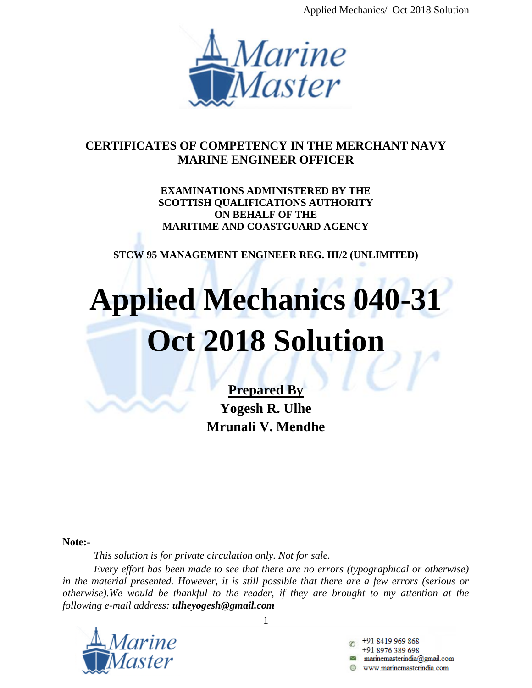Applied Mechanics/ Oct 2018 Solution



## **CERTIFICATES OF COMPETENCY IN THE MERCHANT NAVY MARINE ENGINEER OFFICER**

**EXAMINATIONS ADMINISTERED BY THE SCOTTISH QUALIFICATIONS AUTHORITY ON BEHALF OF THE MARITIME AND COASTGUARD AGENCY**

**STCW 95 MANAGEMENT ENGINEER REG. III/2 (UNLIMITED)**

# **Applied Mechanics 040-31 Oct 2018 Solution**

**Prepared By Yogesh R. Ulhe Mrunali V. Mendhe**

**Note:-**

*This solution is for private circulation only. Not for sale.*

*Every effort has been made to see that there are no errors (typographical or otherwise) in the material presented. However, it is still possible that there are a few errors (serious or otherwise).We would be thankful to the reader, if they are brought to my attention at the following e-mail address: ulheyogesh@gmail.com*



1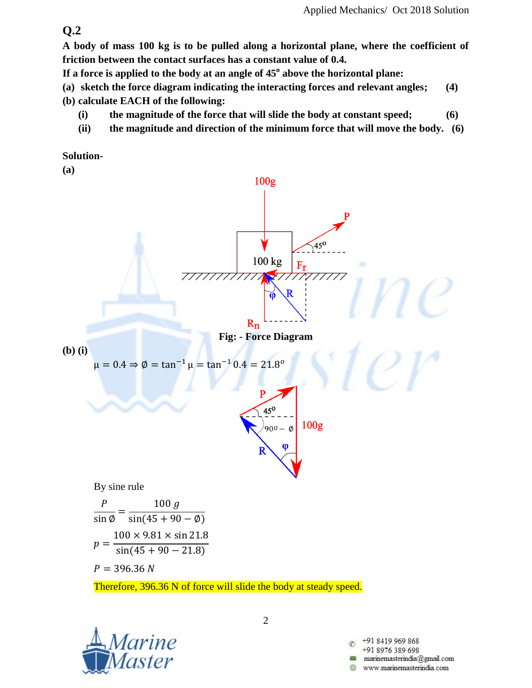**A body of mass 100 kg is to be pulled along a horizontal plane, where the coefficient of friction between the contact surfaces has a constant value of 0.4.**

**If a force is applied to the body at an angle of 45<sup>o</sup> above the horizontal plane:**

**(a) sketch the force diagram indicating the interacting forces and relevant angles; (4)**

**(b) calculate EACH of the following:**

- **(i) the magnitude of the force that will slide the body at constant speed; (6)**
- **(ii) the magnitude and direction of the minimum force that will move the body. (6)**

**Solution-**



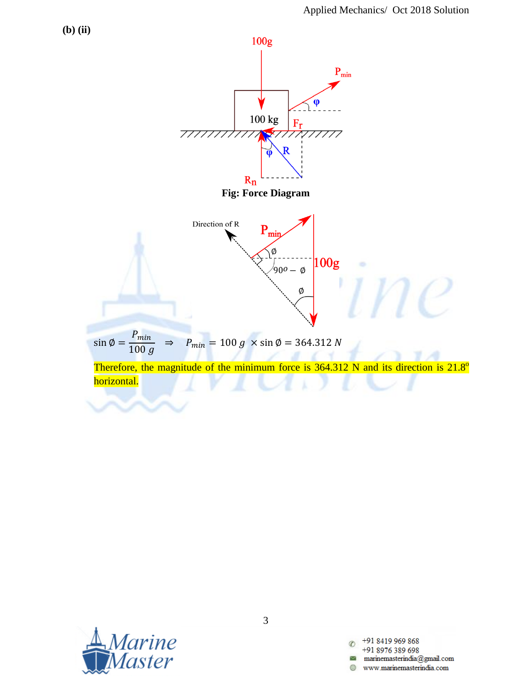

![](_page_2_Picture_2.jpeg)

+91 8419 969 868 C +91 8976 389 698  $\label{eq:main} \text{marianemasterindia} @ \text{gmail.com}$ www.marinemasterindia.com A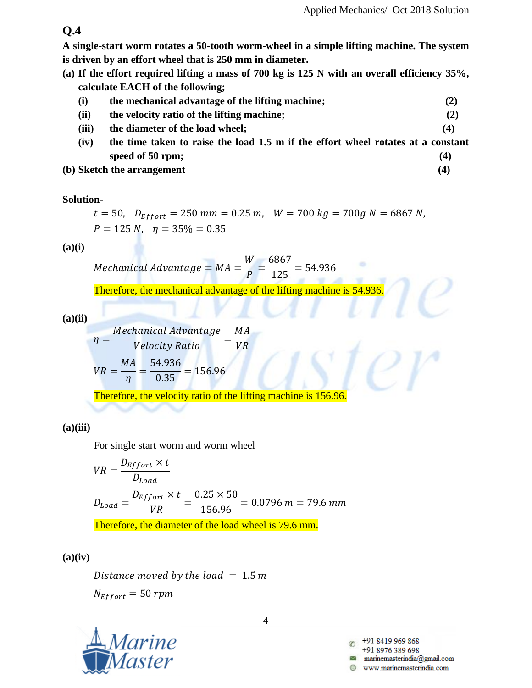**A single-start worm rotates a 50-tooth worm-wheel in a simple lifting machine. The system is driven by an effort wheel that is 250 mm in diameter.**

**(a) If the effort required lifting a mass of 700 kg is 125 N with an overall efficiency 35%, calculate EACH of the following;**

| (i)   | the mechanical advantage of the lifting machine; |     |
|-------|--------------------------------------------------|-----|
| (ii)  | the velocity ratio of the lifting machine;       | (2) |
| (iii) | the diameter of the load wheel;                  | (4) |

- **(iv) the time taken to raise the load 1.5 m if the effort wheel rotates at a constant speed of 50 rpm; (4)**
- **(b) Sketch the arrangement (4)**

#### **Solution-**

$$
t = 50
$$
,  $D_{Effort} = 250$  mm = 0.25 m,  $W = 700$  kg = 700g N = 6867 N,  
 $P = 125$  N,  $\eta = 35\% = 0.35$ 

**(a)(i)**

 $\boldsymbol{M}$ W  $\overline{P}$  $=$ 6  $\mathbf{1}$ 

Therefore, the mechanical advantage of the lifting machine is 54.936.

**(a)(ii)**

$$
\eta = \frac{Mechanical Advantage}{Velocity Ratio} = \frac{MA}{VR}
$$

$$
VR = \frac{MA}{\eta} = \frac{54.936}{0.35} = 156.96
$$

Therefore, the velocity ratio of the lifting machine is 156.96.

**(a)(iii)**

For single start worm and worm wheel

$$
VR = \frac{D_{Effort} \times t}{D_{Load}}
$$
  

$$
D_{Load} = \frac{D_{Effort} \times t}{VR} = \frac{0.25 \times 50}{156.96} = 0.0796 \text{ m} = 79.6 \text{ mm}
$$
  
Therefore, the diameter of the load wheel is 79.6 mm.

**(a)(iv)**

Distance moved by the load  $= 1.5 m$  $N_{Effort} = 50$  rpm

![](_page_3_Picture_20.jpeg)

4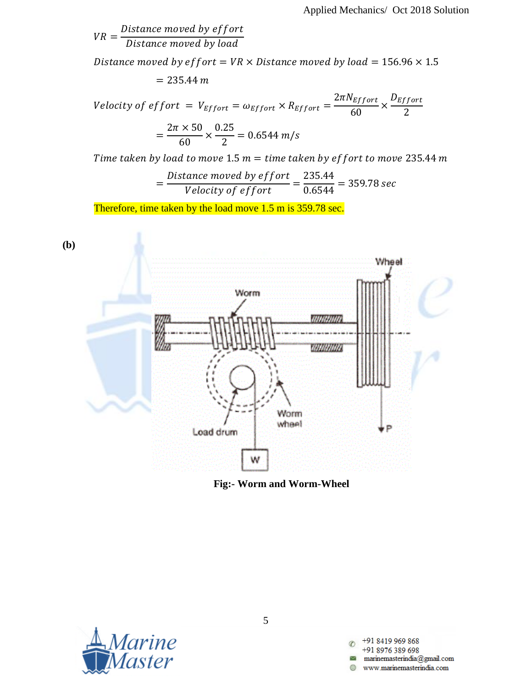V  $\boldsymbol{D}$  $\boldsymbol{D}$ 

Distance moved by effort =  $VR \times Distance$  moved by load = 156.96  $\times$  1.5  $= 235.44 m$ 

V  $\overline{c}$ 6  $\times$  $\overline{D}$  $\overline{c}$  $=$  $\overline{\mathbf{c}}$ 6  $\times$  $\boldsymbol{0}$  $\overline{c}$  $=$ 

Time taken by load to move 1.5  $m =$  time taken by effort to move 235.44 m

$$
=\frac{Distance\ moved\ by\ effort}{Velocity\ of\ effort}=\frac{235.44}{0.6544}=359.78\ sec
$$

Therefore, time taken by the load move 1.5 m is 359.78 sec.

![](_page_4_Figure_7.jpeg)

**Fig:- Worm and Worm-Wheel**

![](_page_4_Picture_9.jpeg)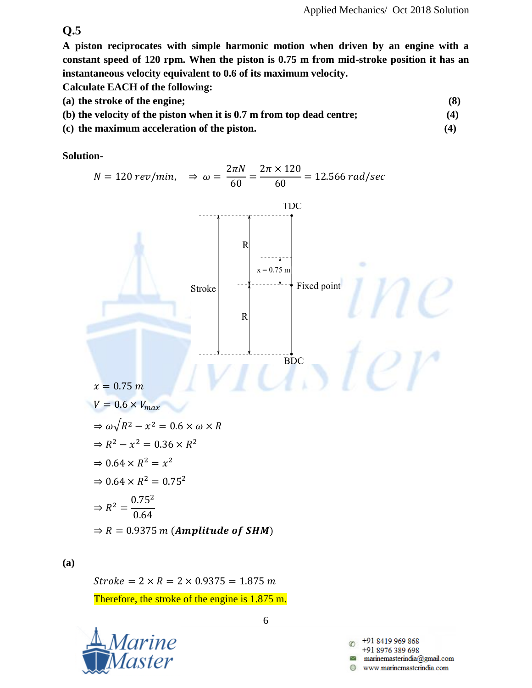**A piston reciprocates with simple harmonic motion when driven by an engine with a constant speed of 120 rpm. When the piston is 0.75 m from mid-stroke position it has an instantaneous velocity equivalent to 0.6 of its maximum velocity.**

**Calculate EACH of the following:**

- **(a) the stroke of the engine; (8)**
- **(b) the velocity of the piston when it is 0.7 m from top dead centre; (4)**
- **(c) the maximum acceleration of the piston. (4)**

**Solution-**

![](_page_5_Figure_8.jpeg)

## **(a)**

 $Stroke = 2 \times R = 2 \times 0.9375 = 1.875 m$ Therefore, the stroke of the engine is 1.875 m.

![](_page_5_Picture_11.jpeg)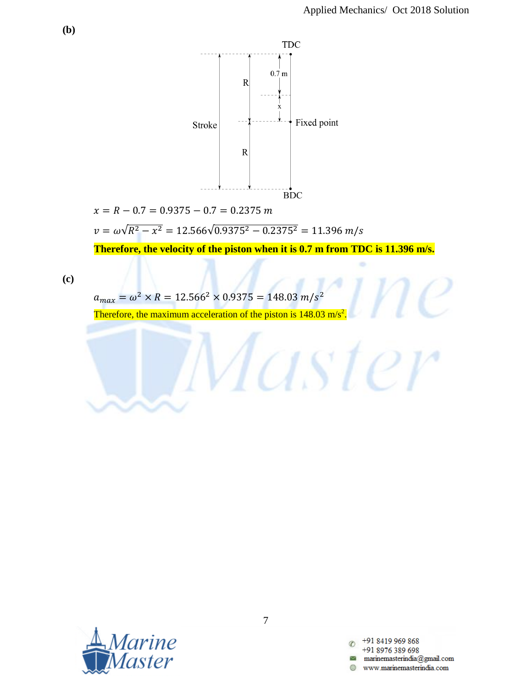![](_page_6_Figure_1.jpeg)

 $x = R - 0.7 = 0.9375 - 0.7 = 0.2375$  m

 $v = \omega \sqrt{R^2 - x^2} = 12.566\sqrt{0}$ 

**Therefore, the velocity of the piston when it is 0.7 m from TDC is 11.396 m/s.**

Taster

**(c)**

$$
a_{max} = \omega^2 \times R = 12.566^2 \times 0.9375 = 148.03 \, m/s^2
$$

Therefore, the maximum acceleration of the piston is  $148.03$  m/s .

![](_page_6_Picture_8.jpeg)

+91 8419 969 868 +91 8976 389 698 www.marinemasterindia.com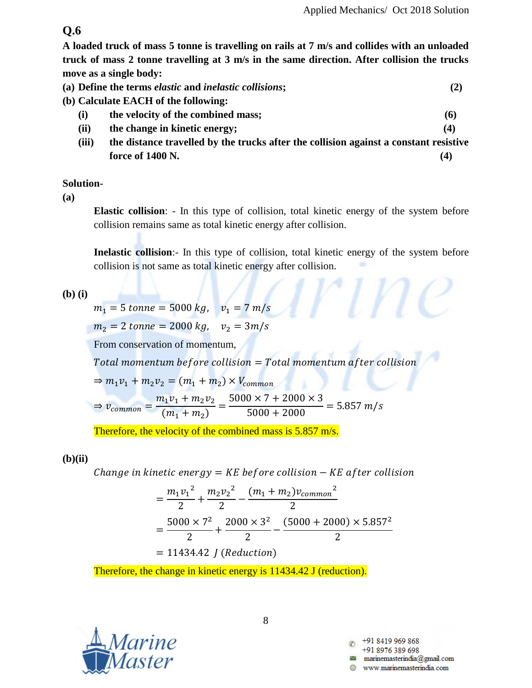**A loaded truck of mass 5 tonne is travelling on rails at 7 m/s and collides with an unloaded truck of mass 2 tonne travelling at 3 m/s in the same direction. After collision the trucks move as a single body:**

|  | (a) Define the terms <i>elastic</i> and <i>inelastic collisions</i> ; |  |
|--|-----------------------------------------------------------------------|--|

- **(b) Calculate EACH of the following:**
	- **(i) the velocity of the combined mass; (6)**
	- **(ii) the change in kinetic energy; (4)**
	- **(iii) the distance travelled by the trucks after the collision against a constant resistive force of 1400 N.** (4)

#### **Solution-**

**(a)**

**Elastic collision**: - In this type of collision, total kinetic energy of the system before collision remains same as total kinetic energy after collision.

**Inelastic collision**:- In this type of collision, total kinetic energy of the system before collision is not same as total kinetic energy after collision.

 $\mathcal{U}\cap\mathcal{U}$ 

**(b) (i)**

$$
m_1 = 5 \text{ tonne} = 5000 \text{ kg}, \quad v_1 = 7 \text{ m/s}
$$
\n
$$
m_2 = 2 \text{ tonne} = 2000 \text{ kg}, \quad v_2 = 3 \text{ m/s}
$$
\nFrom conservation of momentum,  
\nTotal momentum before collision = Total momentum after collision  
\n
$$
\Rightarrow m_1 v_1 + m_2 v_2 = (m_1 + m_2) \times V_{common}
$$
\n
$$
\Rightarrow v_{common} = \frac{m_1 v_1 + m_2 v_2}{(m_1 + m_2)} = \frac{5000 \times 7 + 2000 \times 3}{5000 + 2000} = 5.857 \text{ m/s}
$$

Therefore, the velocity of the combined mass is 5.857 m/s.

#### **(b)(ii)**

Change in kinetic energy =  $KE$  before collision  $-KE$  after collision

$$
= \frac{m_1 v_1^2}{2} + \frac{m_2 v_2^2}{2} - \frac{(m_1 + m_2)v_{common}^2}{2}
$$
  
= 
$$
\frac{5000 \times 7^2}{2} + \frac{2000 \times 3^2}{2} - \frac{(5000 + 2000) \times 5.857^2}{2}
$$
  
= 11434.42 *J* (Reduction)

Therefore, the change in kinetic energy is 11434.42 J (reduction).

![](_page_7_Picture_19.jpeg)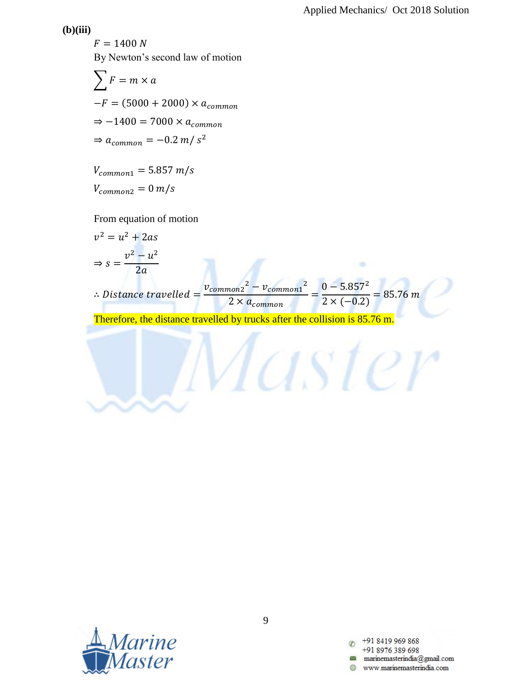#### **(b)(iii)**

 $F = 1400 N$ By Newton's second law of motion

$$
\sum F = m \times a
$$
  
-F = (5000 + 2000) × a<sub>common</sub>  

$$
\Rightarrow -1400 = 7000 \times a_{common}
$$
  

$$
\Rightarrow a_{common} = -0.2 m/s2
$$

 $V_{common1} = 5.857 m/s$  $V_{common2} = 0 m/s$ 

From equation of motion

$$
v^2 = u^2 + 2as
$$
  
\n⇒  $s = \frac{v^2 - u^2}{2a}$   
\n∴ Distance travelled =  $\frac{v_{common2}^2 - v_{common1}^2}{2 \times a_{common}} = \frac{0 - 5.857^2}{2 \times (-0.2)} = 85.76 m$ 

Master

Therefore, the distance travelled by trucks after the collision is 85.76 m.

![](_page_8_Picture_8.jpeg)

+91 8419 969 868 +91 8976 389 698 www.marinemasterindia.com A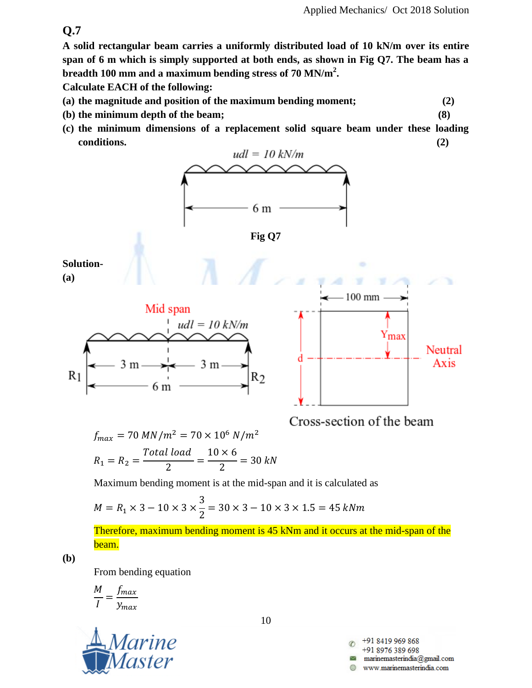**A solid rectangular beam carries a uniformly distributed load of 10 kN/m over its entire span of 6 m which is simply supported at both ends, as shown in Fig Q7. The beam has a breadth 100 mm and a maximum bending stress of 70 MN/m<sup>2</sup> .** 

**Calculate EACH of the following:**

- **(a) the magnitude and position of the maximum bending moment; (2)**
- **(b) the minimum depth of the beam; (8)**
- **(c) the minimum dimensions of a replacement solid square beam under these loading conditions. (2)**

![](_page_9_Figure_7.jpeg)

I  $\mathcal{Y}$ 

![](_page_9_Picture_9.jpeg)

10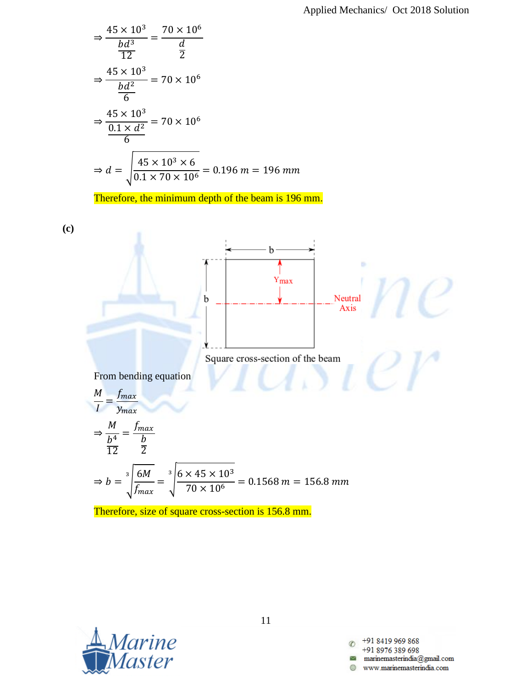$$
\Rightarrow \frac{45 \times 10^3}{\frac{bd^3}{12}} = \frac{70 \times 10^6}{\frac{d}{2}}
$$
  

$$
\Rightarrow \frac{45 \times 10^3}{\frac{bd^2}{6}} = 70 \times 10^6
$$
  

$$
\Rightarrow \frac{45 \times 10^3}{\frac{0.1 \times d^2}{6}} = 70 \times 10^6
$$
  

$$
\Rightarrow d = \sqrt{\frac{45 \times 10^3 \times 6}{0.1 \times 70 \times 10^6}} = 0.196 \text{ m} = 196 \text{ mm}
$$

Therefore, the minimum depth of the beam is 196 mm.

![](_page_10_Figure_3.jpeg)

Therefore, size of square cross-section is 156.8 mm.

![](_page_10_Picture_5.jpeg)

11

+91 8419 969 868 +91 8976 389 698 www.marinemasterindia.com æ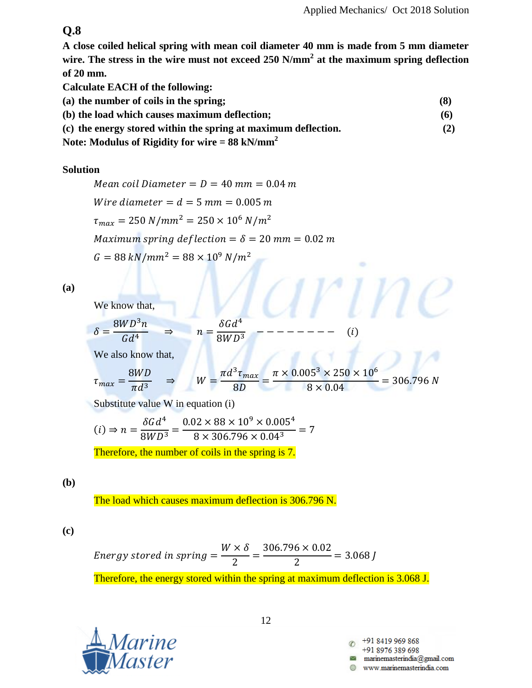÷

## **Q.8**

**A close coiled helical spring with mean coil diameter 40 mm is made from 5 mm diameter wire. The stress in the wire must not exceed 250 N/mm<sup>2</sup> at the maximum spring deflection of 20 mm.**

**Calculate EACH of the following:**

- **(a) the number of coils in the spring; (8)**
- **(b) the load which causes maximum deflection; (6)**
- **(c) the energy stored within the spring at maximum deflection. (2)**

**Note: Modulus of Rigidity for wire = 88 kN/mm<sup>2</sup>**

#### **Solution**

Mean coil Diameter =  $D = 40$  mm = 0.04 m Wire diameter =  $d = 5$  mm = 0.005 m  $\tau_{max}=250\;N/mm^2=250\times 10^6\;N/m^2$ Maximum spring deflection =  $\delta$  = 20 mm = 0.02 m  $G = 88 kN/mm^2 = 88 \times 10^9 N/m^2$ 

**(a)**

We know that,

$$
\delta = \frac{8WD^3n}{Gd^4} \qquad \Rightarrow \qquad n = \frac{\delta Gd^4}{8WD^3} \qquad \qquad - - - - - - - - \qquad (i
$$

We also know that,

$$
\tau_{max} = \frac{8WD}{\pi d^3} \quad \Rightarrow \quad W = \frac{\pi d^3 \tau_{max}}{8D} = \frac{\pi \times 0.005^3 \times 250 \times 10^6}{8 \times 0.04} = 306.796 \text{ N}
$$

Substitute value W in equation (i)

$$
(i) \Rightarrow n = \frac{\delta G d^4}{8WD^3} = \frac{0.02 \times 88 \times 10^9 \times 0.005^4}{8 \times 306.796 \times 0.04^3} = 7
$$

Therefore, the number of coils in the spring is 7.

## **(b)**

The load which causes maximum deflection is 306.796 N.

**(c)**

Energy stored in spring = 
$$
\frac{W \times \delta}{2}
$$
 =  $\frac{306.796 \times 0.02}{2}$  = 3.068 J  
Therefore, the energy stored within the spring at maximum deflection is 3.068 J.

![](_page_11_Picture_22.jpeg)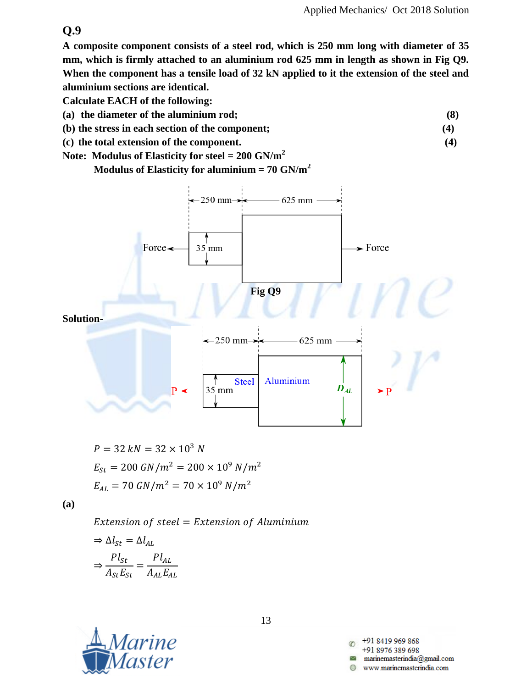**A composite component consists of a steel rod, which is 250 mm long with diameter of 35 mm, which is firmly attached to an aluminium rod 625 mm in length as shown in Fig Q9. When the component has a tensile load of 32 kN applied to it the extension of the steel and aluminium sections are identical.**

**Calculate EACH of the following:**

- **(a) the diameter of the aluminium rod; (8)**
- **(b) the stress in each section of the component; (4)**
- **(c) the total extension of the component. (4)**
- **Note: Modulus of Elasticity for steel = 200 GN/m<sup>2</sup>**

**Modulus of Elasticity for aluminium = 70 GN/m<sup>2</sup>**

![](_page_12_Figure_9.jpeg)

$$
P = 32 kN = 32 \times 10^3 N
$$
  
\n
$$
E_{St} = 200 \text{ GN/m}^2 = 200 \times 10^9 \text{ N/m}^2
$$
  
\n
$$
E_{AL} = 70 \text{ GN/m}^2 = 70 \times 10^9 \text{ N/m}^2
$$

**(a)**

Extension of steel = Extension of Aluminium

$$
\Rightarrow \Delta l_{St} = \Delta l_{AL}
$$

$$
\Rightarrow \frac{Pl_{St}}{A_{St}E_{St}} = \frac{Pl_{AL}}{A_{AL}E_{AL}}
$$

![](_page_12_Picture_14.jpeg)

13